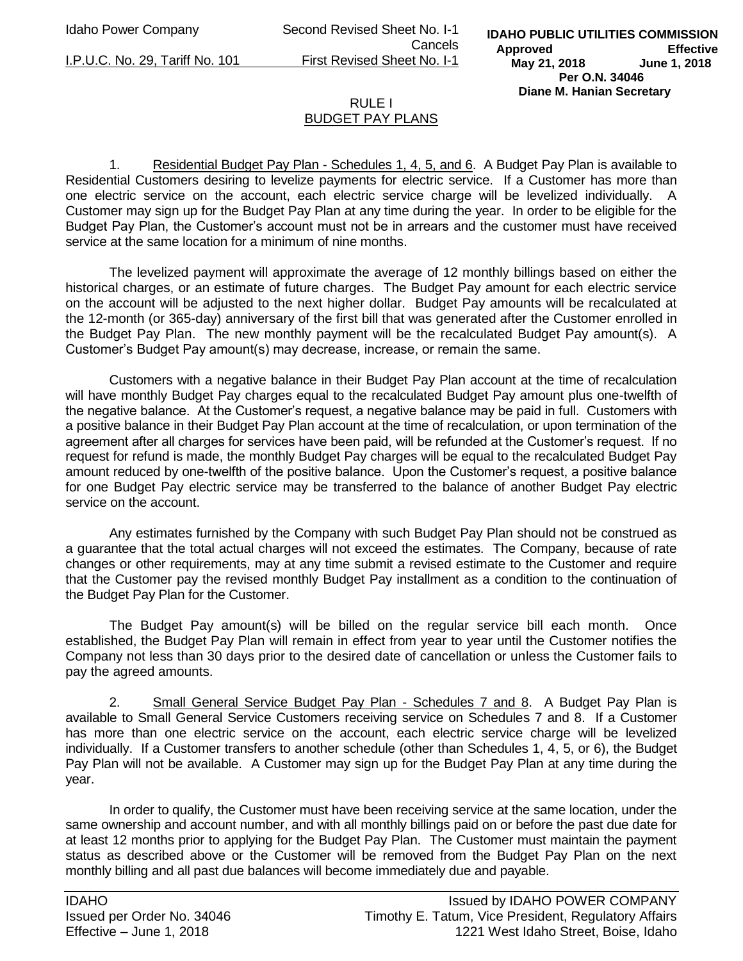Idaho Power Company Second Revised Sheet No. I-1 Cancels I.P.U.C. No. 29, Tariff No. 101 First Revised Sheet No. I-1

## RULE I BUDGET PAY PLANS

1. Residential Budget Pay Plan - Schedules 1, 4, 5, and 6. A Budget Pay Plan is available to Residential Customers desiring to levelize payments for electric service. If a Customer has more than one electric service on the account, each electric service charge will be levelized individually. A Customer may sign up for the Budget Pay Plan at any time during the year. In order to be eligible for the Budget Pay Plan, the Customer's account must not be in arrears and the customer must have received service at the same location for a minimum of nine months.

The levelized payment will approximate the average of 12 monthly billings based on either the historical charges, or an estimate of future charges. The Budget Pay amount for each electric service on the account will be adjusted to the next higher dollar. Budget Pay amounts will be recalculated at the 12-month (or 365-day) anniversary of the first bill that was generated after the Customer enrolled in the Budget Pay Plan. The new monthly payment will be the recalculated Budget Pay amount(s). A Customer's Budget Pay amount(s) may decrease, increase, or remain the same.

Customers with a negative balance in their Budget Pay Plan account at the time of recalculation will have monthly Budget Pay charges equal to the recalculated Budget Pay amount plus one-twelfth of the negative balance. At the Customer's request, a negative balance may be paid in full. Customers with a positive balance in their Budget Pay Plan account at the time of recalculation, or upon termination of the agreement after all charges for services have been paid, will be refunded at the Customer's request. If no request for refund is made, the monthly Budget Pay charges will be equal to the recalculated Budget Pay amount reduced by one-twelfth of the positive balance. Upon the Customer's request, a positive balance for one Budget Pay electric service may be transferred to the balance of another Budget Pay electric service on the account.

Any estimates furnished by the Company with such Budget Pay Plan should not be construed as a guarantee that the total actual charges will not exceed the estimates. The Company, because of rate changes or other requirements, may at any time submit a revised estimate to the Customer and require that the Customer pay the revised monthly Budget Pay installment as a condition to the continuation of the Budget Pay Plan for the Customer.

The Budget Pay amount(s) will be billed on the regular service bill each month. Once established, the Budget Pay Plan will remain in effect from year to year until the Customer notifies the Company not less than 30 days prior to the desired date of cancellation or unless the Customer fails to pay the agreed amounts.

2. Small General Service Budget Pay Plan - Schedules 7 and 8. A Budget Pay Plan is available to Small General Service Customers receiving service on Schedules 7 and 8. If a Customer has more than one electric service on the account, each electric service charge will be levelized individually. If a Customer transfers to another schedule (other than Schedules 1, 4, 5, or 6), the Budget Pay Plan will not be available. A Customer may sign up for the Budget Pay Plan at any time during the year.

In order to qualify, the Customer must have been receiving service at the same location, under the same ownership and account number, and with all monthly billings paid on or before the past due date for at least 12 months prior to applying for the Budget Pay Plan. The Customer must maintain the payment status as described above or the Customer will be removed from the Budget Pay Plan on the next monthly billing and all past due balances will become immediately due and payable.